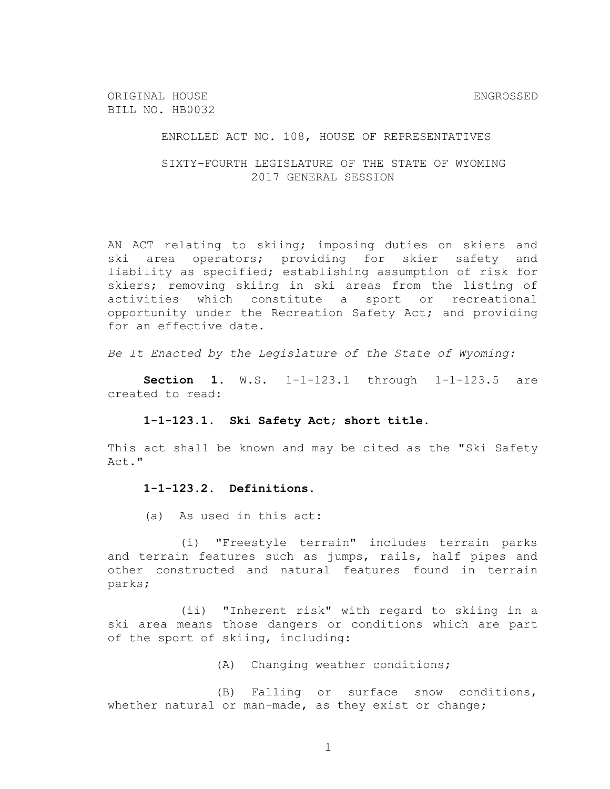ENROLLED ACT NO. 108, HOUSE OF REPRESENTATIVES

SIXTY-FOURTH LEGISLATURE OF THE STATE OF WYOMING 2017 GENERAL SESSION

AN ACT relating to skiing; imposing duties on skiers and ski area operators; providing for skier safety and liability as specified; establishing assumption of risk for skiers; removing skiing in ski areas from the listing of activities which constitute a sport or recreational opportunity under the Recreation Safety Act; and providing for an effective date.

*Be It Enacted by the Legislature of the State of Wyoming:*

**Section 1.** W.S. 1-1-123.1 through 1-1-123.5 are created to read:

**1-1-123.1. Ski Safety Act; short title.**

This act shall be known and may be cited as the "Ski Safety Act."

#### **1-1-123.2. Definitions.**

(a) As used in this act:

(i) "Freestyle terrain" includes terrain parks and terrain features such as jumps, rails, half pipes and other constructed and natural features found in terrain parks;

(ii) "Inherent risk" with regard to skiing in a ski area means those dangers or conditions which are part of the sport of skiing, including:

(A) Changing weather conditions;

(B) Falling or surface snow conditions, whether natural or man-made, as they exist or change;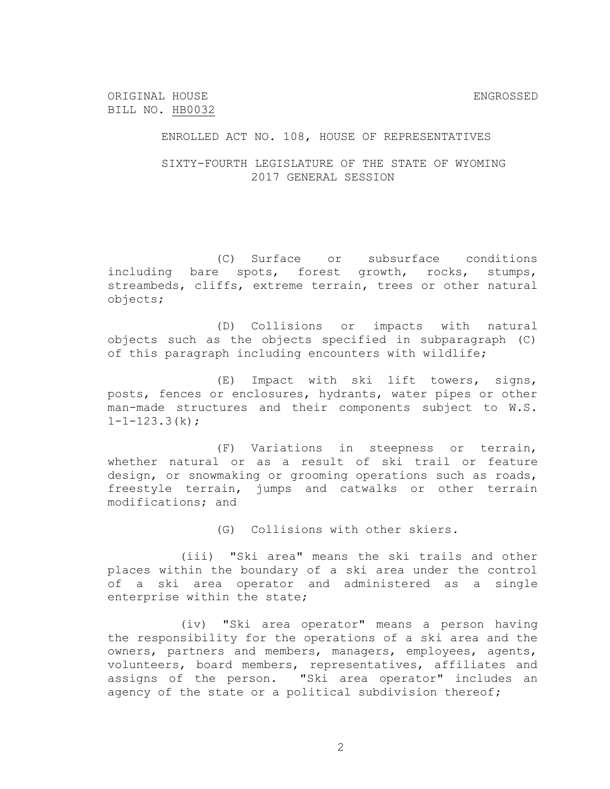ENROLLED ACT NO. 108, HOUSE OF REPRESENTATIVES

SIXTY-FOURTH LEGISLATURE OF THE STATE OF WYOMING 2017 GENERAL SESSION

(C) Surface or subsurface conditions including bare spots, forest growth, rocks, stumps, streambeds, cliffs, extreme terrain, trees or other natural objects;

(D) Collisions or impacts with natural objects such as the objects specified in subparagraph (C) of this paragraph including encounters with wildlife;

(E) Impact with ski lift towers, signs, posts, fences or enclosures, hydrants, water pipes or other man-made structures and their components subject to W.S.  $1 - 1 - 123.3(k)$ ;

(F) Variations in steepness or terrain, whether natural or as a result of ski trail or feature design, or snowmaking or grooming operations such as roads, freestyle terrain, jumps and catwalks or other terrain modifications; and

(G) Collisions with other skiers.

(iii) "Ski area" means the ski trails and other places within the boundary of a ski area under the control of a ski area operator and administered as a single enterprise within the state;

(iv) "Ski area operator" means a person having the responsibility for the operations of a ski area and the owners, partners and members, managers, employees, agents, volunteers, board members, representatives, affiliates and assigns of the person. "Ski area operator" includes an agency of the state or a political subdivision thereof;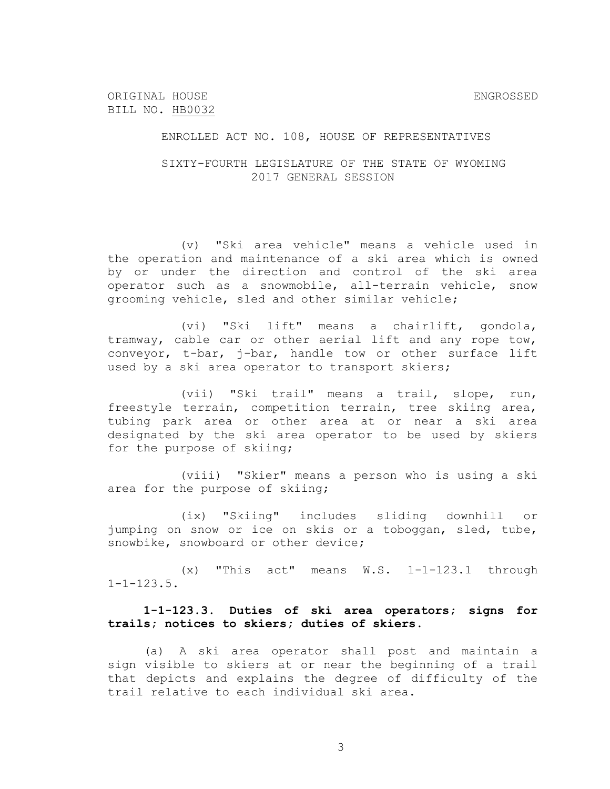ENROLLED ACT NO. 108, HOUSE OF REPRESENTATIVES

SIXTY-FOURTH LEGISLATURE OF THE STATE OF WYOMING 2017 GENERAL SESSION

(v) "Ski area vehicle" means a vehicle used in the operation and maintenance of a ski area which is owned by or under the direction and control of the ski area operator such as a snowmobile, all-terrain vehicle, snow grooming vehicle, sled and other similar vehicle;

(vi) "Ski lift" means a chairlift, gondola, tramway, cable car or other aerial lift and any rope tow, conveyor, t-bar, j-bar, handle tow or other surface lift used by a ski area operator to transport skiers;

(vii) "Ski trail" means a trail, slope, run, freestyle terrain, competition terrain, tree skiing area, tubing park area or other area at or near a ski area designated by the ski area operator to be used by skiers for the purpose of skiing;

(viii) "Skier" means a person who is using a ski area for the purpose of skiing;

(ix) "Skiing" includes sliding downhill or jumping on snow or ice on skis or a toboggan, sled, tube, snowbike, snowboard or other device;

(x) "This act" means W.S. 1-1-123.1 through  $1 - 1 - 123.5$ .

**1-1-123.3. Duties of ski area operators; signs for trails; notices to skiers; duties of skiers.**

(a) A ski area operator shall post and maintain a sign visible to skiers at or near the beginning of a trail that depicts and explains the degree of difficulty of the trail relative to each individual ski area.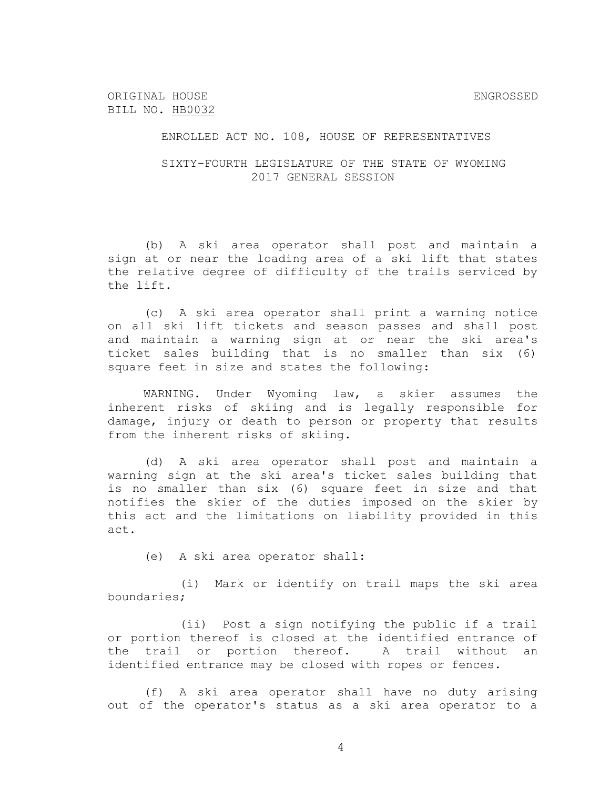ENROLLED ACT NO. 108, HOUSE OF REPRESENTATIVES

SIXTY-FOURTH LEGISLATURE OF THE STATE OF WYOMING 2017 GENERAL SESSION

(b) A ski area operator shall post and maintain a sign at or near the loading area of a ski lift that states the relative degree of difficulty of the trails serviced by the lift.

(c) A ski area operator shall print a warning notice on all ski lift tickets and season passes and shall post and maintain a warning sign at or near the ski area's ticket sales building that is no smaller than six (6) square feet in size and states the following:

WARNING. Under Wyoming law, a skier assumes the inherent risks of skiing and is legally responsible for damage, injury or death to person or property that results from the inherent risks of skiing.

(d) A ski area operator shall post and maintain a warning sign at the ski area's ticket sales building that is no smaller than six (6) square feet in size and that notifies the skier of the duties imposed on the skier by this act and the limitations on liability provided in this act.

(e) A ski area operator shall:

(i) Mark or identify on trail maps the ski area boundaries;

(ii) Post a sign notifying the public if a trail or portion thereof is closed at the identified entrance of the trail or portion thereof. A trail without an identified entrance may be closed with ropes or fences.

(f) A ski area operator shall have no duty arising out of the operator's status as a ski area operator to a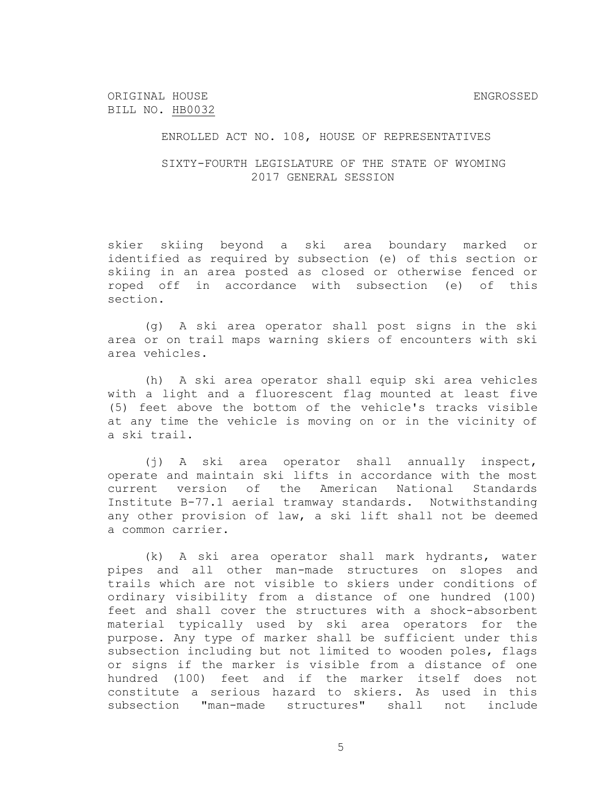## ENROLLED ACT NO. 108, HOUSE OF REPRESENTATIVES

## SIXTY-FOURTH LEGISLATURE OF THE STATE OF WYOMING 2017 GENERAL SESSION

skier skiing beyond a ski area boundary marked or identified as required by subsection (e) of this section or skiing in an area posted as closed or otherwise fenced or roped off in accordance with subsection (e) of this section.

(g) A ski area operator shall post signs in the ski area or on trail maps warning skiers of encounters with ski area vehicles.

(h) A ski area operator shall equip ski area vehicles with a light and a fluorescent flag mounted at least five (5) feet above the bottom of the vehicle's tracks visible at any time the vehicle is moving on or in the vicinity of a ski trail.

(j) A ski area operator shall annually inspect, operate and maintain ski lifts in accordance with the most current version of the American National Standards Institute B-77.1 aerial tramway standards. Notwithstanding any other provision of law, a ski lift shall not be deemed a common carrier.

(k) A ski area operator shall mark hydrants, water pipes and all other man-made structures on slopes and trails which are not visible to skiers under conditions of ordinary visibility from a distance of one hundred (100) feet and shall cover the structures with a shock-absorbent material typically used by ski area operators for the purpose. Any type of marker shall be sufficient under this subsection including but not limited to wooden poles, flags or signs if the marker is visible from a distance of one hundred (100) feet and if the marker itself does not constitute a serious hazard to skiers. As used in this subsection "man-made structures" shall not include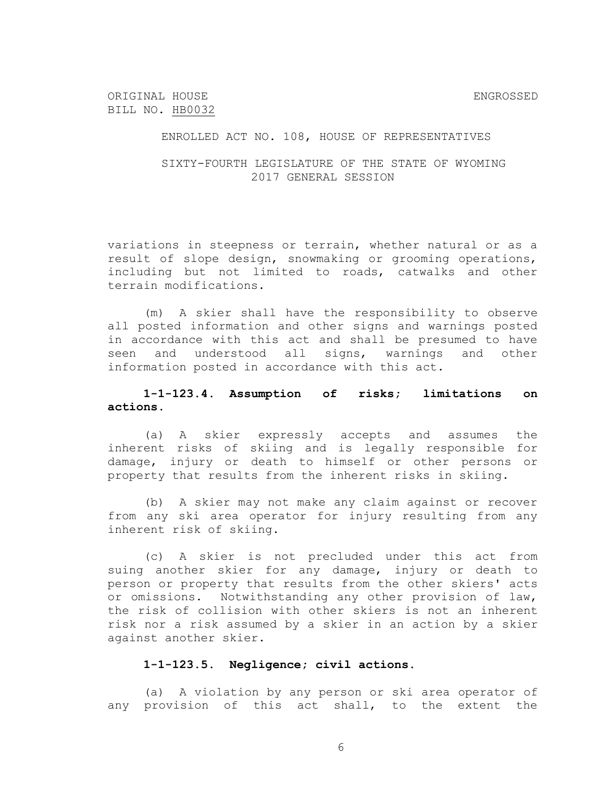## ENROLLED ACT NO. 108, HOUSE OF REPRESENTATIVES

## SIXTY-FOURTH LEGISLATURE OF THE STATE OF WYOMING 2017 GENERAL SESSION

variations in steepness or terrain, whether natural or as a result of slope design, snowmaking or grooming operations, including but not limited to roads, catwalks and other terrain modifications.

(m) A skier shall have the responsibility to observe all posted information and other signs and warnings posted in accordance with this act and shall be presumed to have seen and understood all signs, warnings and other information posted in accordance with this act.

# **1-1-123.4. Assumption of risks; limitations on actions.**

(a) A skier expressly accepts and assumes the inherent risks of skiing and is legally responsible for damage, injury or death to himself or other persons or property that results from the inherent risks in skiing.

(b) A skier may not make any claim against or recover from any ski area operator for injury resulting from any inherent risk of skiing.

(c) A skier is not precluded under this act from suing another skier for any damage, injury or death to person or property that results from the other skiers' acts or omissions. Notwithstanding any other provision of law, the risk of collision with other skiers is not an inherent risk nor a risk assumed by a skier in an action by a skier against another skier.

### **1-1-123.5. Negligence; civil actions.**

(a) A violation by any person or ski area operator of any provision of this act shall, to the extent the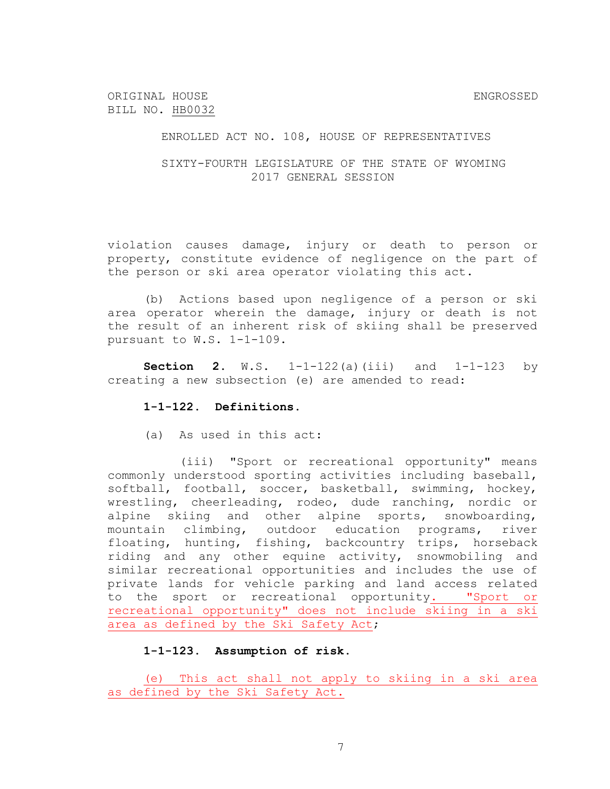ENROLLED ACT NO. 108, HOUSE OF REPRESENTATIVES

SIXTY-FOURTH LEGISLATURE OF THE STATE OF WYOMING 2017 GENERAL SESSION

violation causes damage, injury or death to person or property, constitute evidence of negligence on the part of the person or ski area operator violating this act.

(b) Actions based upon negligence of a person or ski area operator wherein the damage, injury or death is not the result of an inherent risk of skiing shall be preserved pursuant to W.S. 1-1-109.

**Section 2.** W.S. 1-1-122(a)(iii) and 1-1-123 by creating a new subsection (e) are amended to read:

#### **1-1-122. Definitions.**

(a) As used in this act:

(iii) "Sport or recreational opportunity" means commonly understood sporting activities including baseball, softball, football, soccer, basketball, swimming, hockey, wrestling, cheerleading, rodeo, dude ranching, nordic or alpine skiing and other alpine sports, snowboarding, mountain climbing, outdoor education programs, river floating, hunting, fishing, backcountry trips, horseback riding and any other equine activity, snowmobiling and similar recreational opportunities and includes the use of private lands for vehicle parking and land access related to the sport or recreational opportunity. "Sport or recreational opportunity" does not include skiing in a ski area as defined by the Ski Safety Act;

#### **1-1-123. Assumption of risk.**

(e) This act shall not apply to skiing in a ski area as defined by the Ski Safety Act.